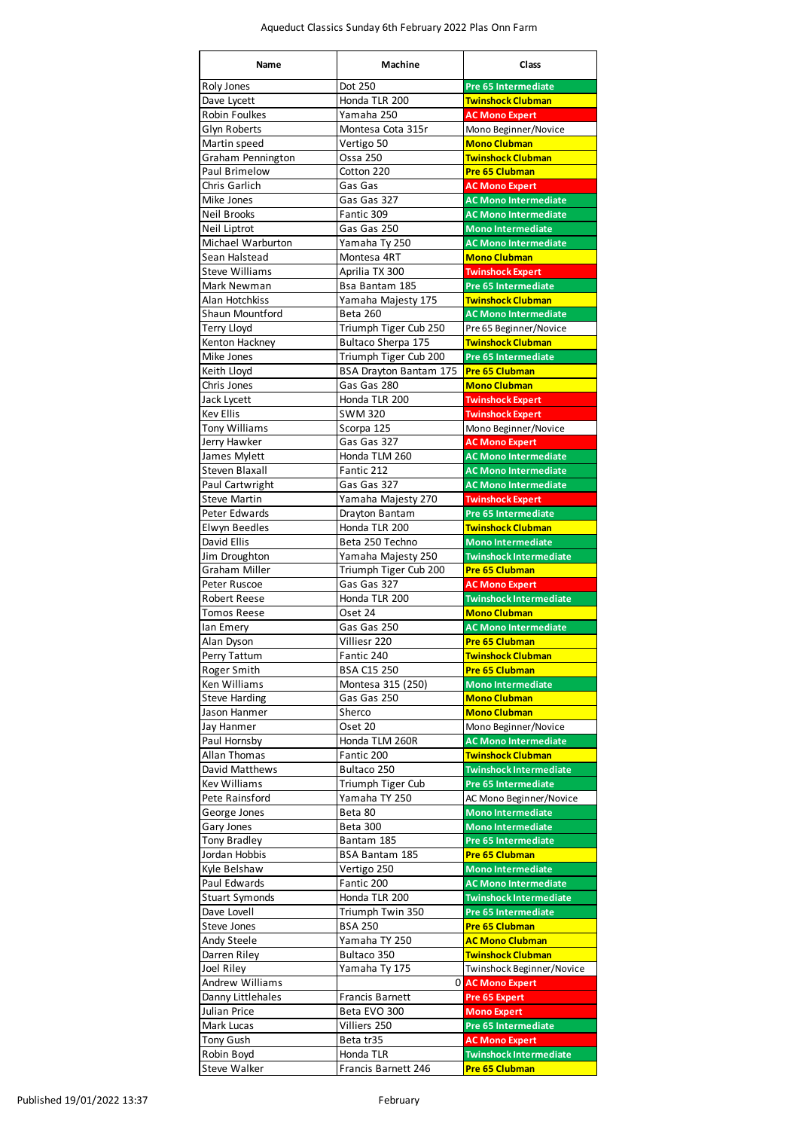| <b>Name</b>                          | <b>Machine</b>                   | <b>Class</b>                                                 |
|--------------------------------------|----------------------------------|--------------------------------------------------------------|
| Roly Jones                           | Dot 250                          | <b>Pre 65 Intermediate</b>                                   |
| Dave Lycett                          | Honda TLR 200                    | <b>Twinshock Clubman</b>                                     |
| <b>Robin Foulkes</b>                 | Yamaha 250                       | <b>AC Mono Expert</b>                                        |
| Glyn Roberts                         | Montesa Cota 315r                | Mono Beginner/Novice                                         |
| Martin speed                         | Vertigo 50                       | <b>Mono Clubman</b>                                          |
| Graham Pennington<br>Paul Brimelow   | <b>Ossa 250</b><br>Cotton 220    | <b>Twinshock Clubman</b><br><b>Pre 65 Clubman</b>            |
| Chris Garlich                        | Gas Gas                          | <b>AC Mono Expert</b>                                        |
| Mike Jones                           | Gas Gas 327                      | <b>AC Mono Intermediate</b>                                  |
| <b>Neil Brooks</b>                   | Fantic 309                       | <b>AC Mono Intermediate</b>                                  |
| Neil Liptrot                         | Gas Gas 250                      | <b>Mono Intermediate</b>                                     |
| Michael Warburton                    | Yamaha Ty 250                    | <b>AC Mono Intermediate</b>                                  |
| Sean Halstead                        | Montesa 4RT                      | <b>Mono Clubman</b>                                          |
| <b>Steve Williams</b><br>Mark Newman | Aprilia TX 300<br>Bsa Bantam 185 | <b>Twinshock Expert</b><br><b>Pre 65 Intermediate</b>        |
| Alan Hotchkiss                       | Yamaha Majesty 175               | <b>Twinshock Clubman</b>                                     |
| Shaun Mountford                      | <b>Beta 260</b>                  | <b>AC Mono Intermediate</b>                                  |
| <b>Terry Lloyd</b>                   | Triumph Tiger Cub 250            | Pre 65 Beginner/Novice                                       |
| Kenton Hackney                       | Bultaco Sherpa 175               | <b>Twinshock Clubman</b>                                     |
| Mike Jones                           | Triumph Tiger Cub 200            | <b>Pre 65 Intermediate</b>                                   |
| Keith Lloyd                          | <b>BSA Drayton Bantam 175</b>    | <b>Pre 65 Clubman</b>                                        |
| Chris Jones                          | Gas Gas 280                      | <b>Mono Clubman</b>                                          |
| Jack Lycett<br><b>Kev Ellis</b>      | Honda TLR 200<br><b>SWM 320</b>  | <b>Twinshock Expert</b><br><b>Twinshock Expert</b>           |
| <b>Tony Williams</b>                 | Scorpa 125                       | Mono Beginner/Novice                                         |
| Jerry Hawker                         | Gas Gas 327                      | <b>AC Mono Expert</b>                                        |
| James Mylett                         | Honda TLM 260                    | <b>AC Mono Intermediate</b>                                  |
| <b>Steven Blaxall</b>                | Fantic 212                       | <b>AC Mono Intermediate</b>                                  |
| Paul Cartwright                      | Gas Gas 327                      | <b>AC Mono Intermediate</b>                                  |
| <b>Steve Martin</b>                  | Yamaha Majesty 270               | <b>Twinshock Expert</b>                                      |
| Peter Edwards                        | Drayton Bantam                   | Pre 65 Intermediate                                          |
| Elwyn Beedles<br>David Ellis         | Honda TLR 200<br>Beta 250 Techno | <b>Twinshock Clubman</b><br><b>Mono Intermediate</b>         |
| Jim Droughton                        | Yamaha Majesty 250               | <b>Twinshock Intermediate</b>                                |
| Graham Miller                        | Triumph Tiger Cub 200            | <b>Pre 65 Clubman</b>                                        |
| Peter Ruscoe                         | Gas Gas 327                      | <b>AC Mono Expert</b>                                        |
| <b>Robert Reese</b>                  | Honda TLR 200                    | <b>Twinshock Intermediate</b>                                |
| Tomos Reese                          | Oset 24                          | <b>Mono Clubman</b>                                          |
| lan Emery                            | Gas Gas 250                      | <b>AC Mono Intermediate</b>                                  |
| Alan Dyson<br>Perry Tattum           | Villiesr 220<br>Fantic 240       | <b>Pre 65 Clubman</b><br><b>Twinshock Clubman</b>            |
| Roger Smith                          | <b>BSA C15 250</b>               | <b>Pre 65 Clubman</b>                                        |
| <b>Ken Williams</b>                  | Montesa 315 (250)                | <b>Mono Intermediate</b>                                     |
| <b>Steve Harding</b>                 | Gas Gas 250                      | <b>Mono Clubman</b>                                          |
| Jason Hanmer                         | Sherco                           | <b>Mono Clubman</b>                                          |
| Jay Hanmer                           | Oset 20                          | Mono Beginner/Novice                                         |
| Paul Hornsby                         | Honda TLM 260R                   | <b>AC Mono Intermediate</b>                                  |
| Allan Thomas<br>David Matthews       | Fantic 200                       | <b>Twinshock Clubman</b>                                     |
| <b>Kev Williams</b>                  | Bultaco 250<br>Triumph Tiger Cub | <b>Twinshock Intermediate</b><br>Pre 65 Intermediate         |
| Pete Rainsford                       | Yamaha TY 250                    | AC Mono Beginner/Novice                                      |
| George Jones                         | Beta 80                          | <b>Mono Intermediate</b>                                     |
| Gary Jones                           | <b>Beta 300</b>                  | <b>Mono Intermediate</b>                                     |
| Tony Bradley                         | Bantam 185                       | <b>Pre 65 Intermediate</b>                                   |
| Jordan Hobbis                        | <b>BSA Bantam 185</b>            | <b>Pre 65 Clubman</b>                                        |
| Kyle Belshaw                         | Vertigo 250                      | <b>Mono Intermediate</b>                                     |
| Paul Edwards                         | Fantic 200<br>Honda TLR 200      | <b>AC Mono Intermediate</b><br><b>Twinshock Intermediate</b> |
| <b>Stuart Symonds</b><br>Dave Lovell | Triumph Twin 350                 | Pre 65 Intermediate                                          |
| Steve Jones                          | <b>BSA 250</b>                   | <b>Pre 65 Clubman</b>                                        |
| Andy Steele                          | Yamaha TY 250                    | <b>AC Mono Clubman</b>                                       |
| Darren Riley                         | Bultaco 350                      | <b>Twinshock Clubman</b>                                     |
| <b>Joel Riley</b>                    | Yamaha Ty 175                    | Twinshock Beginner/Novice                                    |
| <b>Andrew Williams</b>               | 01                               | <b>AC Mono Expert</b>                                        |
| Danny Littlehales                    | <b>Francis Barnett</b>           | <b>Pre 65 Expert</b>                                         |
| Julian Price                         | Beta EVO 300<br>Villiers 250     | <b>Mono Expert</b>                                           |
| Mark Lucas<br>Tony Gush              | Beta tr35                        | Pre 65 Intermediate<br><b>AC Mono Expert</b>                 |
| Robin Boyd                           | Honda TLR                        | <b>Twinshock Intermediate</b>                                |
| Steve Walker                         | Francis Barnett 246              | Pre 65 Clubman                                               |

Published 19/01/2022 13:37 February